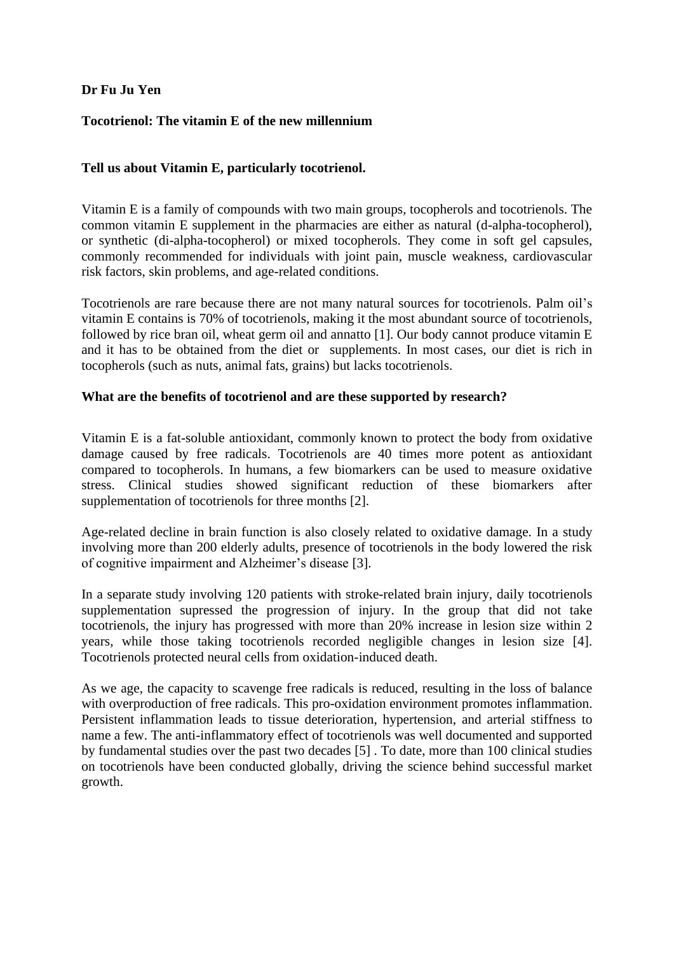# **Dr Fu Ju Yen**

### **Tocotrienol: The vitamin E of the new millennium**

## **Tell us about Vitamin E, particularly tocotrienol.**

Vitamin E is a family of compounds with two main groups, tocopherols and tocotrienols. The common vitamin E supplement in the pharmacies are either as natural (d-alpha-tocopherol), or synthetic (di-alpha-tocopherol) or mixed tocopherols. They come in soft gel capsules, commonly recommended for individuals with joint pain, muscle weakness, cardiovascular risk factors, skin problems, and age-related conditions.

Tocotrienols are rare because there are not many natural sources for tocotrienols. Palm oil's vitamin E contains is 70% of tocotrienols, making it the most abundant source of tocotrienols, followed by rice bran oil, wheat germ oil and annatto [1]. Our body cannot produce vitamin E and it has to be obtained from the diet or supplements. In most cases, our diet is rich in tocopherols (such as nuts, animal fats, grains) but lacks tocotrienols.

#### **What are the benefits of tocotrienol and are these supported by research?**

Vitamin E is a fat-soluble antioxidant, commonly known to protect the body from oxidative damage caused by free radicals. Tocotrienols are 40 times more potent as antioxidant compared to tocopherols. In humans, a few biomarkers can be used to measure oxidative stress. Clinical studies showed significant reduction of these biomarkers after supplementation of tocotrienols for three months [2].

Age-related decline in brain function is also closely related to oxidative damage. In a study involving more than 200 elderly adults, presence of tocotrienols in the body lowered the risk of cognitive impairment and Alzheimer's disease [3].

In a separate study involving 120 patients with stroke-related brain injury, daily tocotrienols supplementation supressed the progression of injury. In the group that did not take tocotrienols, the injury has progressed with more than 20% increase in lesion size within 2 years, while those taking tocotrienols recorded negligible changes in lesion size [4]. Tocotrienols protected neural cells from oxidation-induced death.

As we age, the capacity to scavenge free radicals is reduced, resulting in the loss of balance with overproduction of free radicals. This pro-oxidation environment promotes inflammation. Persistent inflammation leads to tissue deterioration, hypertension, and arterial stiffness to name a few. The anti-inflammatory effect of tocotrienols was well documented and supported by fundamental studies over the past two decades [5] . To date, more than 100 clinical studies on tocotrienols have been conducted globally, driving the science behind successful market growth.